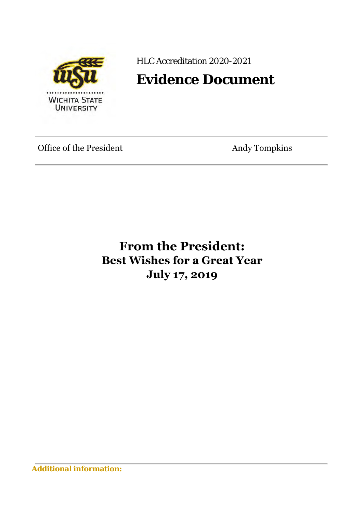

HLC Accreditation 2020-2021

## **Evidence Document**

Office of the President Andy Tompkins

**From the President: Best Wishes for a Great Year July 17, 2019**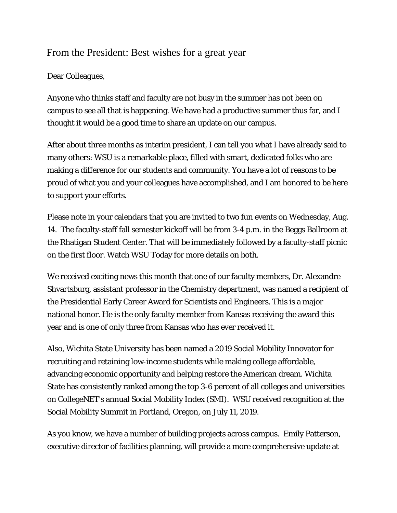## From the President: Best wishes for a great year

## Dear Colleagues,

Anyone who thinks staff and faculty are not busy in the summer has not been on campus to see all that is happening. We have had a productive summer thus far, and I thought it would be a good time to share an update on our campus.

After about three months as interim president, I can tell you what I have already said to many others: WSU is a remarkable place, filled with smart, dedicated folks who are making a difference for our students and community. You have a lot of reasons to be proud of what you and your colleagues have accomplished, and I am honored to be here to support your efforts.

Please note in your calendars that you are invited to two fun events on Wednesday, Aug. 14. The faculty-staff fall semester kickoff will be from 3-4 p.m. in the Beggs Ballroom at the Rhatigan Student Center. That will be immediately followed by a faculty-staff picnic on the first floor. Watch WSU Today for more details on both.

We received exciting news this month that one of our faculty members, Dr. Alexandre Shvartsburg, assistant professor in the Chemistry department, was named a recipient of the Presidential Early Career Award for Scientists and Engineers. This is a major national honor. He is the only faculty member from Kansas receiving the award this year and is one of only three from Kansas who has ever received it.

Also, Wichita State University has been named a 2019 Social Mobility Innovator for recruiting and retaining low-income students while making college affordable, advancing economic opportunity and helping restore the American dream. Wichita State has consistently ranked among the top 3-6 percent of all colleges and universities on CollegeNET's annual Social Mobility Index (SMI). WSU received recognition at the Social Mobility Summit in Portland, Oregon, on July 11, 2019.

As you know, we have a number of building projects across campus. Emily Patterson, executive director of facilities planning, will provide a more comprehensive update at